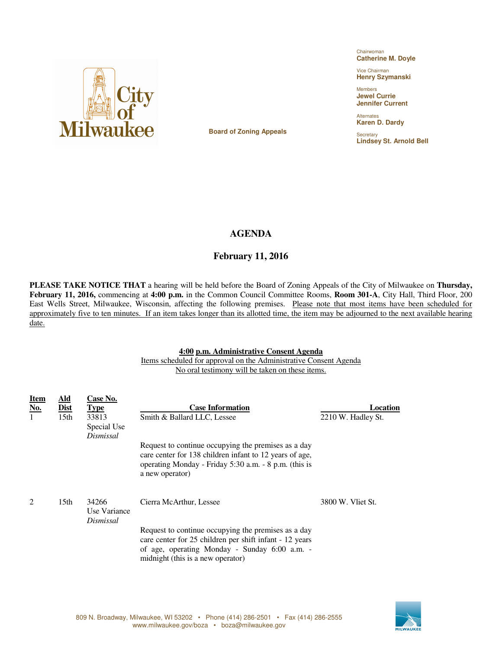

**Item** 

**Ald** 

**Case No.** 

Chairwoman **Catherine M. Doyle**

Vice Chairman **Henry Szymanski**

Members **Jewel Currie Jennifer Current** 

Alternates **Karen D. Dardy**

**Secretary Lindsey St. Arnold Bell**

**Board of Zoning Appeals** 

## **AGENDA**

## **February 11, 2016**

**PLEASE TAKE NOTICE THAT** a hearing will be held before the Board of Zoning Appeals of the City of Milwaukee on **Thursday, February 11, 2016,** commencing at **4:00 p.m.** in the Common Council Committee Rooms, **Room 301-A**, City Hall, Third Floor, 200 East Wells Street, Milwaukee, Wisconsin, affecting the following premises. Please note that most items have been scheduled for approximately five to ten minutes. If an item takes longer than its allotted time, the item may be adjourned to the next available hearing date.

## **4:00 p.m. Administrative Consent Agenda**

 Items scheduled for approval on the Administrative Consent Agenda No oral testimony will be taken on these items.

| <u>Luelli</u><br><u>No.</u> | <u>AIU</u><br><b>Dist</b> | Case IVO.<br><b>Type</b>           | <b>Case Information</b>                                                                                                                                                                              | Location           |
|-----------------------------|---------------------------|------------------------------------|------------------------------------------------------------------------------------------------------------------------------------------------------------------------------------------------------|--------------------|
|                             | 15 <sub>th</sub>          | 33813<br>Special Use<br>Dismissal  | Smith & Ballard LLC, Lessee                                                                                                                                                                          | 2210 W. Hadley St. |
|                             |                           |                                    | Request to continue occupying the premises as a day<br>care center for 138 children infant to 12 years of age,<br>operating Monday - Friday 5:30 a.m. - 8 p.m. (this is<br>a new operator)           |                    |
| 2                           | 15th                      | 34266<br>Use Variance<br>Dismissal | Cierra McArthur, Lessee                                                                                                                                                                              | 3800 W. Vliet St.  |
|                             |                           |                                    | Request to continue occupying the premises as a day<br>care center for 25 children per shift infant - 12 years<br>of age, operating Monday - Sunday 6:00 a.m. -<br>midnight (this is a new operator) |                    |

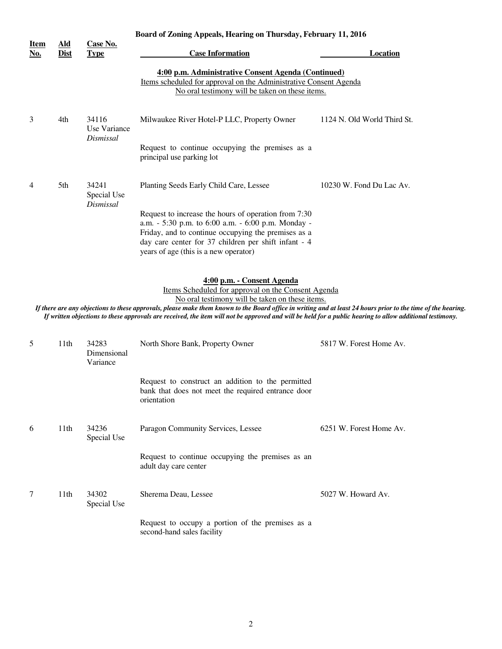| Board of Zoning Appeals, Hearing on Thursday, February 11, 2016 |  |  |
|-----------------------------------------------------------------|--|--|
|                                                                 |  |  |

| <b>Item</b> | <u>Ald</u>       | Case No.                                  | Doard of Zoning Appears, Hearing on Thursday, February 11, 2010                                                                                                                                                  |                             |  |  |
|-------------|------------------|-------------------------------------------|------------------------------------------------------------------------------------------------------------------------------------------------------------------------------------------------------------------|-----------------------------|--|--|
| No.         | <b>Dist</b>      | <b>Type</b>                               | <b>Case Information</b>                                                                                                                                                                                          | <b>Location</b>             |  |  |
|             |                  |                                           | 4:00 p.m. Administrative Consent Agenda (Continued)<br>Items scheduled for approval on the Administrative Consent Agenda<br>No oral testimony will be taken on these items.                                      |                             |  |  |
| 3           | 4th              | 34116<br>Use Variance<br><b>Dismissal</b> | Milwaukee River Hotel-P LLC, Property Owner                                                                                                                                                                      | 1124 N. Old World Third St. |  |  |
|             |                  |                                           | Request to continue occupying the premises as a<br>principal use parking lot                                                                                                                                     |                             |  |  |
| 4           | 5th              | 34241<br>Special Use<br>Dismissal         | Planting Seeds Early Child Care, Lessee                                                                                                                                                                          | 10230 W. Fond Du Lac Av.    |  |  |
|             |                  |                                           | Request to increase the hours of operation from 7:30                                                                                                                                                             |                             |  |  |
|             |                  |                                           | a.m. - 5:30 p.m. to 6:00 a.m. - 6:00 p.m. Monday -                                                                                                                                                               |                             |  |  |
|             |                  |                                           | Friday, and to continue occupying the premises as a                                                                                                                                                              |                             |  |  |
|             |                  |                                           | day care center for 37 children per shift infant - 4<br>years of age (this is a new operator)                                                                                                                    |                             |  |  |
|             |                  |                                           |                                                                                                                                                                                                                  |                             |  |  |
|             |                  |                                           | 4:00 p.m. - Consent Agenda                                                                                                                                                                                       |                             |  |  |
|             |                  |                                           | Items Scheduled for approval on the Consent Agenda                                                                                                                                                               |                             |  |  |
|             |                  |                                           | No oral testimony will be taken on these items.<br>If there are any objections to these approvals, please make them known to the Board office in writing and at least 24 hours prior to the time of the hearing. |                             |  |  |
|             |                  |                                           | If written objections to these approvals are received, the item will not be approved and will be held for a public hearing to allow additional testimony.                                                        |                             |  |  |
|             |                  |                                           |                                                                                                                                                                                                                  |                             |  |  |
| 5           | 11th             | 34283<br>Dimensional<br>Variance          | North Shore Bank, Property Owner                                                                                                                                                                                 | 5817 W. Forest Home Av.     |  |  |
|             |                  |                                           | Request to construct an addition to the permitted<br>bank that does not meet the required entrance door<br>orientation                                                                                           |                             |  |  |
| 6           | 11 <sup>th</sup> | 34236<br>Special Use                      | Paragon Community Services, Lessee                                                                                                                                                                               | 6251 W. Forest Home Av.     |  |  |
|             |                  |                                           | Request to continue occupying the premises as an<br>adult day care center                                                                                                                                        |                             |  |  |
| 7           | 11 <sup>th</sup> | 34302<br>Special Use                      | Sherema Deau, Lessee                                                                                                                                                                                             | 5027 W. Howard Av.          |  |  |
|             |                  |                                           | Request to occupy a portion of the premises as a<br>second-hand sales facility                                                                                                                                   |                             |  |  |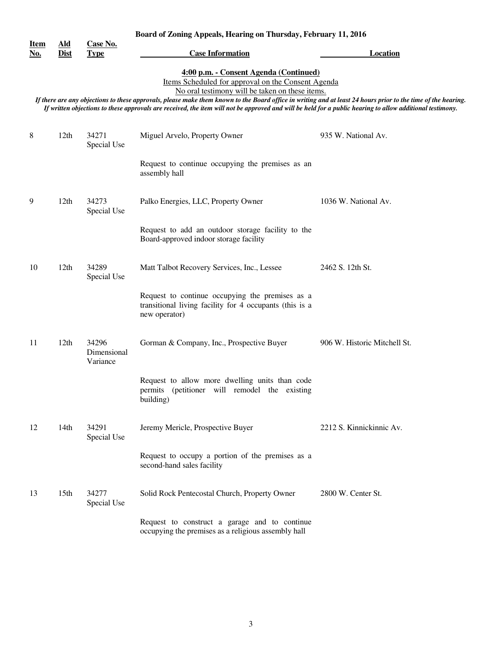|                           | Board of Zoning Appeals, Hearing on Thursday, February 11, 2016                                                                                                                                                                                                                                                                                                               |                                  |                                                                                                                             |                              |  |
|---------------------------|-------------------------------------------------------------------------------------------------------------------------------------------------------------------------------------------------------------------------------------------------------------------------------------------------------------------------------------------------------------------------------|----------------------------------|-----------------------------------------------------------------------------------------------------------------------------|------------------------------|--|
| <u>Item</u><br><u>No.</u> | $\underline{\mathbf{A}\mathbf{Id}}$<br><b>Dist</b>                                                                                                                                                                                                                                                                                                                            | Case No.<br><b>Type</b>          | <b>Case Information</b>                                                                                                     | <b>Location</b>              |  |
|                           | 4:00 p.m. - Consent Agenda (Continued)<br>Items Scheduled for approval on the Consent Agenda                                                                                                                                                                                                                                                                                  |                                  |                                                                                                                             |                              |  |
|                           | No oral testimony will be taken on these items.<br>If there are any objections to these approvals, please make them known to the Board office in writing and at least 24 hours prior to the time of the hearing.<br>If written objections to these approvals are received, the item will not be approved and will be held for a public hearing to allow additional testimony. |                                  |                                                                                                                             |                              |  |
| 8                         | 12 <sub>th</sub>                                                                                                                                                                                                                                                                                                                                                              | 34271<br>Special Use             | Miguel Arvelo, Property Owner                                                                                               | 935 W. National Av.          |  |
|                           |                                                                                                                                                                                                                                                                                                                                                                               |                                  | Request to continue occupying the premises as an<br>assembly hall                                                           |                              |  |
| 9                         | 12th                                                                                                                                                                                                                                                                                                                                                                          | 34273<br>Special Use             | Palko Energies, LLC, Property Owner                                                                                         | 1036 W. National Av.         |  |
|                           |                                                                                                                                                                                                                                                                                                                                                                               |                                  | Request to add an outdoor storage facility to the<br>Board-approved indoor storage facility                                 |                              |  |
| 10                        | 12th                                                                                                                                                                                                                                                                                                                                                                          | 34289<br>Special Use             | Matt Talbot Recovery Services, Inc., Lessee                                                                                 | 2462 S. 12th St.             |  |
|                           |                                                                                                                                                                                                                                                                                                                                                                               |                                  | Request to continue occupying the premises as a<br>transitional living facility for 4 occupants (this is a<br>new operator) |                              |  |
| 11                        | 12th                                                                                                                                                                                                                                                                                                                                                                          | 34296<br>Dimensional<br>Variance | Gorman & Company, Inc., Prospective Buyer                                                                                   | 906 W. Historic Mitchell St. |  |
|                           |                                                                                                                                                                                                                                                                                                                                                                               |                                  | Request to allow more dwelling units than code<br>permits (petitioner will remodel the existing<br>building)                |                              |  |
| 12                        | 14th                                                                                                                                                                                                                                                                                                                                                                          | 34291<br>Special Use             | Jeremy Mericle, Prospective Buyer                                                                                           | 2212 S. Kinnickinnic Av.     |  |
|                           |                                                                                                                                                                                                                                                                                                                                                                               |                                  | Request to occupy a portion of the premises as a<br>second-hand sales facility                                              |                              |  |
| 13                        | 15 <sub>th</sub>                                                                                                                                                                                                                                                                                                                                                              | 34277<br>Special Use             | Solid Rock Pentecostal Church, Property Owner                                                                               | 2800 W. Center St.           |  |
|                           |                                                                                                                                                                                                                                                                                                                                                                               |                                  | Request to construct a garage and to continue<br>occupying the premises as a religious assembly hall                        |                              |  |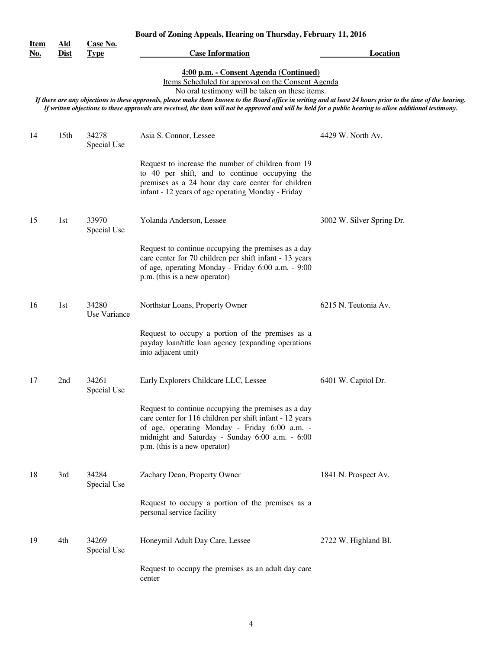|                           | Board of Zoning Appeals, Hearing on Thursday, February 11, 2016                                                                                                                                                                                                                                                                                                                                                                                                               |                         |                                                                                                                                                                                                                                                      |                           |  |  |  |
|---------------------------|-------------------------------------------------------------------------------------------------------------------------------------------------------------------------------------------------------------------------------------------------------------------------------------------------------------------------------------------------------------------------------------------------------------------------------------------------------------------------------|-------------------------|------------------------------------------------------------------------------------------------------------------------------------------------------------------------------------------------------------------------------------------------------|---------------------------|--|--|--|
| <u>Item</u><br><u>No.</u> | $\underline{\mathbf{A}}\mathbf{Id}$<br><b>Dist</b>                                                                                                                                                                                                                                                                                                                                                                                                                            | Case No.<br><b>Type</b> | <b>Case Information</b>                                                                                                                                                                                                                              | <b>Location</b>           |  |  |  |
|                           | 4:00 p.m. - Consent Agenda (Continued)<br>Items Scheduled for approval on the Consent Agenda<br>No oral testimony will be taken on these items.<br>If there are any objections to these approvals, please make them known to the Board office in writing and at least 24 hours prior to the time of the hearing.<br>If written objections to these approvals are received, the item will not be approved and will be held for a public hearing to allow additional testimony. |                         |                                                                                                                                                                                                                                                      |                           |  |  |  |
| 14                        | 15 <sub>th</sub>                                                                                                                                                                                                                                                                                                                                                                                                                                                              | 34278<br>Special Use    | Asia S. Connor, Lessee                                                                                                                                                                                                                               | 4429 W. North Av.         |  |  |  |
|                           |                                                                                                                                                                                                                                                                                                                                                                                                                                                                               |                         | Request to increase the number of children from 19<br>to 40 per shift, and to continue occupying the<br>premises as a 24 hour day care center for children<br>infant - 12 years of age operating Monday - Friday                                     |                           |  |  |  |
| 15                        | 1st                                                                                                                                                                                                                                                                                                                                                                                                                                                                           | 33970<br>Special Use    | Yolanda Anderson, Lessee                                                                                                                                                                                                                             | 3002 W. Silver Spring Dr. |  |  |  |
|                           |                                                                                                                                                                                                                                                                                                                                                                                                                                                                               |                         | Request to continue occupying the premises as a day<br>care center for 70 children per shift infant - 13 years<br>of age, operating Monday - Friday 6:00 a.m. - 9:00<br>p.m. (this is a new operator)                                                |                           |  |  |  |
| 16                        | 1st                                                                                                                                                                                                                                                                                                                                                                                                                                                                           | 34280<br>Use Variance   | Northstar Loans, Property Owner                                                                                                                                                                                                                      | 6215 N. Teutonia Av.      |  |  |  |
|                           |                                                                                                                                                                                                                                                                                                                                                                                                                                                                               |                         | Request to occupy a portion of the premises as a<br>payday loan/title loan agency (expanding operations<br>into adjacent unit)                                                                                                                       |                           |  |  |  |
| 17                        | 2nd                                                                                                                                                                                                                                                                                                                                                                                                                                                                           | 34261<br>Special Use    | Early Explorers Childcare LLC, Lessee                                                                                                                                                                                                                | 6401 W. Capitol Dr.       |  |  |  |
|                           |                                                                                                                                                                                                                                                                                                                                                                                                                                                                               |                         | Request to continue occupying the premises as a day<br>care center for 116 children per shift infant - 12 years<br>of age, operating Monday - Friday 6:00 a.m. -<br>midnight and Saturday - Sunday 6:00 a.m. - 6:00<br>p.m. (this is a new operator) |                           |  |  |  |
| 18                        | 3rd                                                                                                                                                                                                                                                                                                                                                                                                                                                                           | 34284<br>Special Use    | Zachary Dean, Property Owner                                                                                                                                                                                                                         | 1841 N. Prospect Av.      |  |  |  |
|                           |                                                                                                                                                                                                                                                                                                                                                                                                                                                                               |                         | Request to occupy a portion of the premises as a<br>personal service facility                                                                                                                                                                        |                           |  |  |  |
| 19                        | 4th                                                                                                                                                                                                                                                                                                                                                                                                                                                                           | 34269<br>Special Use    | Honeymil Adult Day Care, Lessee                                                                                                                                                                                                                      | 2722 W. Highland Bl.      |  |  |  |
|                           |                                                                                                                                                                                                                                                                                                                                                                                                                                                                               |                         | Request to occupy the premises as an adult day care<br>center                                                                                                                                                                                        |                           |  |  |  |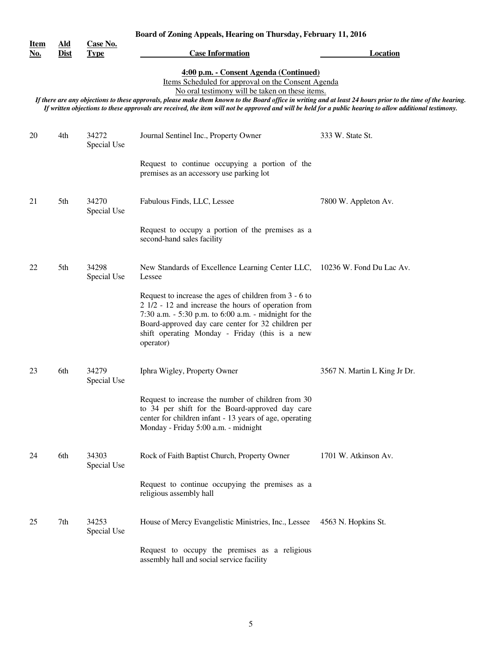|                           | Board of Zoning Appeals, Hearing on Thursday, February 11, 2016                                                                                                                                                                                                                                                                                                                                                                                                               |                         |                                                                                                                                                                                                                                                                                             |                              |  |  |
|---------------------------|-------------------------------------------------------------------------------------------------------------------------------------------------------------------------------------------------------------------------------------------------------------------------------------------------------------------------------------------------------------------------------------------------------------------------------------------------------------------------------|-------------------------|---------------------------------------------------------------------------------------------------------------------------------------------------------------------------------------------------------------------------------------------------------------------------------------------|------------------------------|--|--|
| <u>Item</u><br><u>No.</u> | $\underline{\mathbf{A}\mathbf{Id}}$<br><b>Dist</b>                                                                                                                                                                                                                                                                                                                                                                                                                            | Case No.<br><b>Type</b> | <b>Case Information</b>                                                                                                                                                                                                                                                                     | <b>Location</b>              |  |  |
|                           | 4:00 p.m. - Consent Agenda (Continued)<br>Items Scheduled for approval on the Consent Agenda<br>No oral testimony will be taken on these items.<br>If there are any objections to these approvals, please make them known to the Board office in writing and at least 24 hours prior to the time of the hearing.<br>If written objections to these approvals are received, the item will not be approved and will be held for a public hearing to allow additional testimony. |                         |                                                                                                                                                                                                                                                                                             |                              |  |  |
| 20                        | 4th                                                                                                                                                                                                                                                                                                                                                                                                                                                                           | 34272<br>Special Use    | Journal Sentinel Inc., Property Owner                                                                                                                                                                                                                                                       | 333 W. State St.             |  |  |
|                           |                                                                                                                                                                                                                                                                                                                                                                                                                                                                               |                         | Request to continue occupying a portion of the<br>premises as an accessory use parking lot                                                                                                                                                                                                  |                              |  |  |
| 21                        | 5th                                                                                                                                                                                                                                                                                                                                                                                                                                                                           | 34270<br>Special Use    | Fabulous Finds, LLC, Lessee                                                                                                                                                                                                                                                                 | 7800 W. Appleton Av.         |  |  |
|                           |                                                                                                                                                                                                                                                                                                                                                                                                                                                                               |                         | Request to occupy a portion of the premises as a<br>second-hand sales facility                                                                                                                                                                                                              |                              |  |  |
| 22                        | 5th                                                                                                                                                                                                                                                                                                                                                                                                                                                                           | 34298<br>Special Use    | New Standards of Excellence Learning Center LLC, 10236 W. Fond Du Lac Av.<br>Lessee                                                                                                                                                                                                         |                              |  |  |
|                           |                                                                                                                                                                                                                                                                                                                                                                                                                                                                               |                         | Request to increase the ages of children from 3 - 6 to<br>2 1/2 - 12 and increase the hours of operation from<br>7:30 a.m. - 5:30 p.m. to 6:00 a.m. - midnight for the<br>Board-approved day care center for 32 children per<br>shift operating Monday - Friday (this is a new<br>operator) |                              |  |  |
| 23                        | 6th                                                                                                                                                                                                                                                                                                                                                                                                                                                                           | 34279<br>Special Use    | Iphra Wigley, Property Owner                                                                                                                                                                                                                                                                | 3567 N. Martin L King Jr Dr. |  |  |
|                           |                                                                                                                                                                                                                                                                                                                                                                                                                                                                               |                         | Request to increase the number of children from 30<br>to 34 per shift for the Board-approved day care<br>center for children infant - 13 years of age, operating<br>Monday - Friday 5:00 a.m. - midnight                                                                                    |                              |  |  |
| 24                        | 6th                                                                                                                                                                                                                                                                                                                                                                                                                                                                           | 34303<br>Special Use    | Rock of Faith Baptist Church, Property Owner                                                                                                                                                                                                                                                | 1701 W. Atkinson Av.         |  |  |
|                           |                                                                                                                                                                                                                                                                                                                                                                                                                                                                               |                         | Request to continue occupying the premises as a<br>religious assembly hall                                                                                                                                                                                                                  |                              |  |  |
| 25                        | 7th                                                                                                                                                                                                                                                                                                                                                                                                                                                                           | 34253<br>Special Use    | House of Mercy Evangelistic Ministries, Inc., Lessee                                                                                                                                                                                                                                        | 4563 N. Hopkins St.          |  |  |
|                           |                                                                                                                                                                                                                                                                                                                                                                                                                                                                               |                         | Request to occupy the premises as a religious<br>assembly hall and social service facility                                                                                                                                                                                                  |                              |  |  |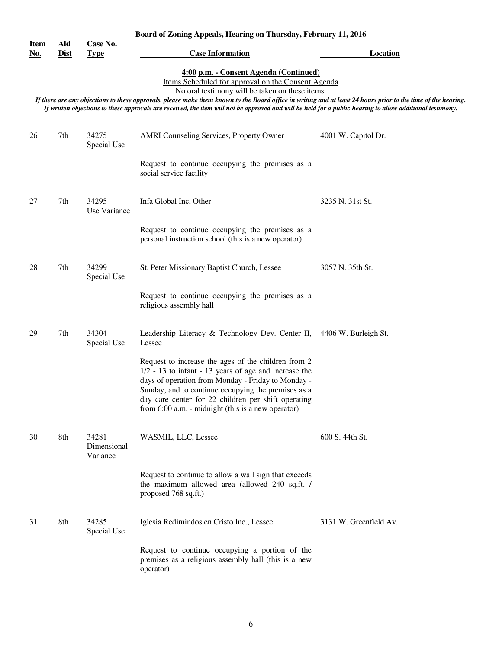|                           | Board of Zoning Appeals, Hearing on Thursday, February 11, 2016                                                                                                                                                                                                                                                                                                                                                                                                               |                                  |                                                                                                                                                                                                                                                                                                                                          |                        |  |
|---------------------------|-------------------------------------------------------------------------------------------------------------------------------------------------------------------------------------------------------------------------------------------------------------------------------------------------------------------------------------------------------------------------------------------------------------------------------------------------------------------------------|----------------------------------|------------------------------------------------------------------------------------------------------------------------------------------------------------------------------------------------------------------------------------------------------------------------------------------------------------------------------------------|------------------------|--|
| <u>Item</u><br><u>No.</u> | $\underline{\mathbf{A}}\mathbf{Id}$<br><b>Dist</b>                                                                                                                                                                                                                                                                                                                                                                                                                            | Case No.<br><b>Type</b>          | <b>Case Information</b>                                                                                                                                                                                                                                                                                                                  | <b>Location</b>        |  |
|                           | 4:00 p.m. - Consent Agenda (Continued)<br>Items Scheduled for approval on the Consent Agenda<br>No oral testimony will be taken on these items.<br>If there are any objections to these approvals, please make them known to the Board office in writing and at least 24 hours prior to the time of the hearing.<br>If written objections to these approvals are received, the item will not be approved and will be held for a public hearing to allow additional testimony. |                                  |                                                                                                                                                                                                                                                                                                                                          |                        |  |
| 26                        | 7th                                                                                                                                                                                                                                                                                                                                                                                                                                                                           | 34275<br>Special Use             | <b>AMRI</b> Counseling Services, Property Owner                                                                                                                                                                                                                                                                                          | 4001 W. Capitol Dr.    |  |
|                           |                                                                                                                                                                                                                                                                                                                                                                                                                                                                               |                                  | Request to continue occupying the premises as a<br>social service facility                                                                                                                                                                                                                                                               |                        |  |
| 27                        | 7th                                                                                                                                                                                                                                                                                                                                                                                                                                                                           | 34295<br>Use Variance            | Infa Global Inc, Other                                                                                                                                                                                                                                                                                                                   | 3235 N. 31st St.       |  |
|                           |                                                                                                                                                                                                                                                                                                                                                                                                                                                                               |                                  | Request to continue occupying the premises as a<br>personal instruction school (this is a new operator)                                                                                                                                                                                                                                  |                        |  |
| 28                        | 7th                                                                                                                                                                                                                                                                                                                                                                                                                                                                           | 34299<br>Special Use             | St. Peter Missionary Baptist Church, Lessee                                                                                                                                                                                                                                                                                              | 3057 N. 35th St.       |  |
|                           |                                                                                                                                                                                                                                                                                                                                                                                                                                                                               |                                  | Request to continue occupying the premises as a<br>religious assembly hall                                                                                                                                                                                                                                                               |                        |  |
| 29                        | 7th                                                                                                                                                                                                                                                                                                                                                                                                                                                                           | 34304<br>Special Use             | Leadership Literacy & Technology Dev. Center II,<br>Lessee                                                                                                                                                                                                                                                                               | 4406 W. Burleigh St.   |  |
|                           |                                                                                                                                                                                                                                                                                                                                                                                                                                                                               |                                  | Request to increase the ages of the children from 2<br>$1/2$ - 13 to infant - 13 years of age and increase the<br>days of operation from Monday - Friday to Monday -<br>Sunday, and to continue occupying the premises as a<br>day care center for 22 children per shift operating<br>from 6:00 a.m. - midnight (this is a new operator) |                        |  |
| 30                        | 8th                                                                                                                                                                                                                                                                                                                                                                                                                                                                           | 34281<br>Dimensional<br>Variance | WASMIL, LLC, Lessee                                                                                                                                                                                                                                                                                                                      | 600 S. 44th St.        |  |
|                           |                                                                                                                                                                                                                                                                                                                                                                                                                                                                               |                                  | Request to continue to allow a wall sign that exceeds<br>the maximum allowed area (allowed 240 sq.ft. /<br>proposed 768 sq.ft.)                                                                                                                                                                                                          |                        |  |
| 31                        | 8th                                                                                                                                                                                                                                                                                                                                                                                                                                                                           | 34285<br>Special Use             | Iglesia Redimindos en Cristo Inc., Lessee                                                                                                                                                                                                                                                                                                | 3131 W. Greenfield Av. |  |
|                           |                                                                                                                                                                                                                                                                                                                                                                                                                                                                               |                                  | Request to continue occupying a portion of the<br>premises as a religious assembly hall (this is a new<br>operator)                                                                                                                                                                                                                      |                        |  |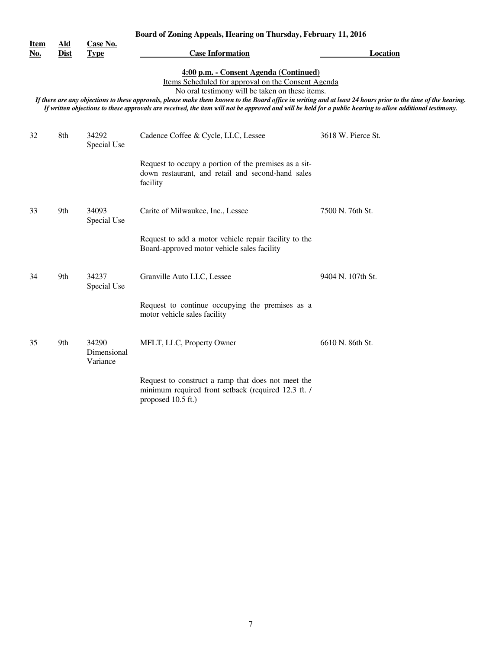|                    | Board of Zoning Appeals, Hearing on Thursday, February 11, 2016                                                                                                                                                                                                                                                                                                                                                                                                               |                                  |                                                                                                                                 |                    |  |  |  |
|--------------------|-------------------------------------------------------------------------------------------------------------------------------------------------------------------------------------------------------------------------------------------------------------------------------------------------------------------------------------------------------------------------------------------------------------------------------------------------------------------------------|----------------------------------|---------------------------------------------------------------------------------------------------------------------------------|--------------------|--|--|--|
| <b>Item</b><br>No. | <b>Ald</b><br><b>Dist</b>                                                                                                                                                                                                                                                                                                                                                                                                                                                     | Case No.<br><b>Type</b>          | <b>Case Information</b>                                                                                                         | Location           |  |  |  |
|                    | 4:00 p.m. - Consent Agenda (Continued)<br>Items Scheduled for approval on the Consent Agenda<br>No oral testimony will be taken on these items.<br>If there are any objections to these approvals, please make them known to the Board office in writing and at least 24 hours prior to the time of the hearing.<br>If written objections to these approvals are received, the item will not be approved and will be held for a public hearing to allow additional testimony. |                                  |                                                                                                                                 |                    |  |  |  |
| 32                 | 8th                                                                                                                                                                                                                                                                                                                                                                                                                                                                           | 34292<br>Special Use             | Cadence Coffee & Cycle, LLC, Lessee                                                                                             | 3618 W. Pierce St. |  |  |  |
|                    |                                                                                                                                                                                                                                                                                                                                                                                                                                                                               |                                  | Request to occupy a portion of the premises as a sit-<br>down restaurant, and retail and second-hand sales<br>facility          |                    |  |  |  |
| 33                 | 9th                                                                                                                                                                                                                                                                                                                                                                                                                                                                           | 34093<br>Special Use             | Carite of Milwaukee, Inc., Lessee                                                                                               | 7500 N. 76th St.   |  |  |  |
|                    |                                                                                                                                                                                                                                                                                                                                                                                                                                                                               |                                  | Request to add a motor vehicle repair facility to the<br>Board-approved motor vehicle sales facility                            |                    |  |  |  |
| 34                 | 9th                                                                                                                                                                                                                                                                                                                                                                                                                                                                           | 34237<br>Special Use             | Granville Auto LLC, Lessee                                                                                                      | 9404 N. 107th St.  |  |  |  |
|                    |                                                                                                                                                                                                                                                                                                                                                                                                                                                                               |                                  | Request to continue occupying the premises as a<br>motor vehicle sales facility                                                 |                    |  |  |  |
| 35                 | 9th                                                                                                                                                                                                                                                                                                                                                                                                                                                                           | 34290<br>Dimensional<br>Variance | MFLT, LLC, Property Owner                                                                                                       | 6610 N. 86th St.   |  |  |  |
|                    |                                                                                                                                                                                                                                                                                                                                                                                                                                                                               |                                  | Request to construct a ramp that does not meet the<br>minimum required front setback (required 12.3 ft. /<br>proposed 10.5 ft.) |                    |  |  |  |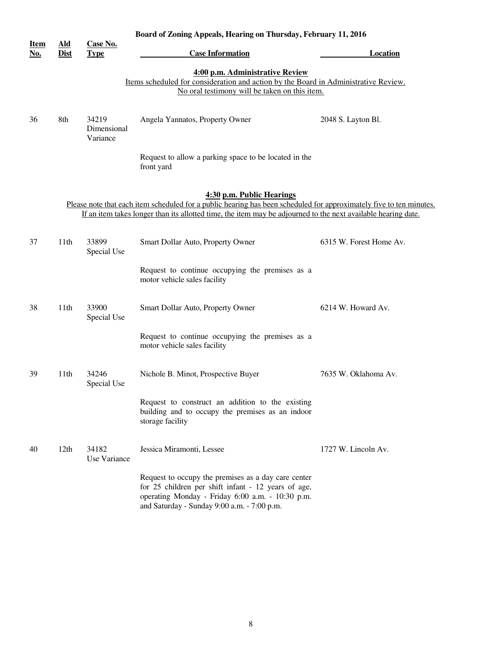|                                                                                                                                                                                                                                                                   | Board of Zoning Appeals, Hearing on Thursday, February 11, 2016                                                                                                         |                                  |                                                                                                                                                                                                               |                         |  |  |
|-------------------------------------------------------------------------------------------------------------------------------------------------------------------------------------------------------------------------------------------------------------------|-------------------------------------------------------------------------------------------------------------------------------------------------------------------------|----------------------------------|---------------------------------------------------------------------------------------------------------------------------------------------------------------------------------------------------------------|-------------------------|--|--|
| <u>Item</u><br><u>No.</u>                                                                                                                                                                                                                                         | <u>Ald</u><br><b>Dist</b>                                                                                                                                               | Case No.<br><b>Type</b>          | <b>Case Information</b>                                                                                                                                                                                       | Location                |  |  |
|                                                                                                                                                                                                                                                                   | 4:00 p.m. Administrative Review<br>Items scheduled for consideration and action by the Board in Administrative Review.<br>No oral testimony will be taken on this item. |                                  |                                                                                                                                                                                                               |                         |  |  |
| 36                                                                                                                                                                                                                                                                | 8th                                                                                                                                                                     | 34219<br>Dimensional<br>Variance | Angela Yannatos, Property Owner                                                                                                                                                                               | 2048 S. Layton Bl.      |  |  |
|                                                                                                                                                                                                                                                                   |                                                                                                                                                                         |                                  | Request to allow a parking space to be located in the<br>front yard                                                                                                                                           |                         |  |  |
| 4:30 p.m. Public Hearings<br>Please note that each item scheduled for a public hearing has been scheduled for approximately five to ten minutes.<br>If an item takes longer than its allotted time, the item may be adjourned to the next available hearing date. |                                                                                                                                                                         |                                  |                                                                                                                                                                                                               |                         |  |  |
| 37                                                                                                                                                                                                                                                                | 11th                                                                                                                                                                    | 33899<br>Special Use             | Smart Dollar Auto, Property Owner                                                                                                                                                                             | 6315 W. Forest Home Av. |  |  |
|                                                                                                                                                                                                                                                                   |                                                                                                                                                                         |                                  | Request to continue occupying the premises as a<br>motor vehicle sales facility                                                                                                                               |                         |  |  |
| 38                                                                                                                                                                                                                                                                | 11th                                                                                                                                                                    | 33900<br>Special Use             | Smart Dollar Auto, Property Owner                                                                                                                                                                             | 6214 W. Howard Av.      |  |  |
|                                                                                                                                                                                                                                                                   |                                                                                                                                                                         |                                  | Request to continue occupying the premises as a<br>motor vehicle sales facility                                                                                                                               |                         |  |  |
| 39                                                                                                                                                                                                                                                                | 11th                                                                                                                                                                    | 34246<br>Special Use             | Nichole B. Minot, Prospective Buyer                                                                                                                                                                           | 7635 W. Oklahoma Av.    |  |  |
|                                                                                                                                                                                                                                                                   |                                                                                                                                                                         |                                  | Request to construct an addition to the existing<br>building and to occupy the premises as an indoor<br>storage facility                                                                                      |                         |  |  |
| 40                                                                                                                                                                                                                                                                | 12th                                                                                                                                                                    | 34182<br>Use Variance            | Jessica Miramonti, Lessee                                                                                                                                                                                     | 1727 W. Lincoln Av.     |  |  |
|                                                                                                                                                                                                                                                                   |                                                                                                                                                                         |                                  | Request to occupy the premises as a day care center<br>for 25 children per shift infant - 12 years of age,<br>operating Monday - Friday 6:00 a.m. - 10:30 p.m.<br>and Saturday - Sunday 9:00 a.m. - 7:00 p.m. |                         |  |  |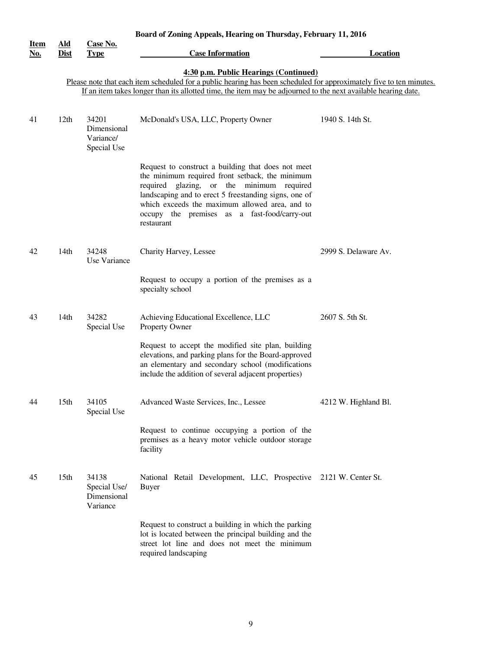|                           | Board of Zoning Appeals, Hearing on Thursday, February 11, 2016 |                                                  |                                                                                                                                                                                                                                                                                                                             |                      |
|---------------------------|-----------------------------------------------------------------|--------------------------------------------------|-----------------------------------------------------------------------------------------------------------------------------------------------------------------------------------------------------------------------------------------------------------------------------------------------------------------------------|----------------------|
| <b>Item</b><br><u>No.</u> | $\underline{\mathbf{A}}\mathbf{Id}$<br><b>Dist</b>              | Case No.<br><b>Type</b>                          | <b>Case Information</b>                                                                                                                                                                                                                                                                                                     | Location             |
|                           |                                                                 |                                                  | 4:30 p.m. Public Hearings (Continued)                                                                                                                                                                                                                                                                                       |                      |
|                           |                                                                 |                                                  | Please note that each item scheduled for a public hearing has been scheduled for approximately five to ten minutes.                                                                                                                                                                                                         |                      |
|                           |                                                                 |                                                  | If an item takes longer than its allotted time, the item may be adjourned to the next available hearing date.                                                                                                                                                                                                               |                      |
| 41                        | 12th                                                            | 34201<br>Dimensional<br>Variance/<br>Special Use | McDonald's USA, LLC, Property Owner                                                                                                                                                                                                                                                                                         | 1940 S. 14th St.     |
|                           |                                                                 |                                                  | Request to construct a building that does not meet<br>the minimum required front setback, the minimum<br>required glazing, or the minimum required<br>landscaping and to erect 5 freestanding signs, one of<br>which exceeds the maximum allowed area, and to<br>occupy the premises as a fast-food/carry-out<br>restaurant |                      |
| 42                        | 14 <sub>th</sub>                                                | 34248<br>Use Variance                            | Charity Harvey, Lessee                                                                                                                                                                                                                                                                                                      | 2999 S. Delaware Av. |
|                           |                                                                 |                                                  | Request to occupy a portion of the premises as a<br>specialty school                                                                                                                                                                                                                                                        |                      |
| 43                        | 14th                                                            | 34282<br>Special Use                             | Achieving Educational Excellence, LLC<br>Property Owner                                                                                                                                                                                                                                                                     | 2607 S. 5th St.      |
|                           |                                                                 |                                                  | Request to accept the modified site plan, building<br>elevations, and parking plans for the Board-approved<br>an elementary and secondary school (modifications<br>include the addition of several adjacent properties)                                                                                                     |                      |
| 44                        | 15 <sub>th</sub>                                                | 34105<br>Special Use                             | Advanced Waste Services, Inc., Lessee                                                                                                                                                                                                                                                                                       | 4212 W. Highland Bl. |
|                           |                                                                 |                                                  | Request to continue occupying a portion of the<br>premises as a heavy motor vehicle outdoor storage<br>facility                                                                                                                                                                                                             |                      |
| 45                        | 15 <sub>th</sub>                                                | 34138<br>Special Use/<br>Dimensional<br>Variance | National Retail Development, LLC, Prospective 2121 W. Center St.<br><b>Buyer</b>                                                                                                                                                                                                                                            |                      |
|                           |                                                                 |                                                  | Request to construct a building in which the parking<br>lot is located between the principal building and the<br>street lot line and does not meet the minimum<br>required landscaping                                                                                                                                      |                      |

# 9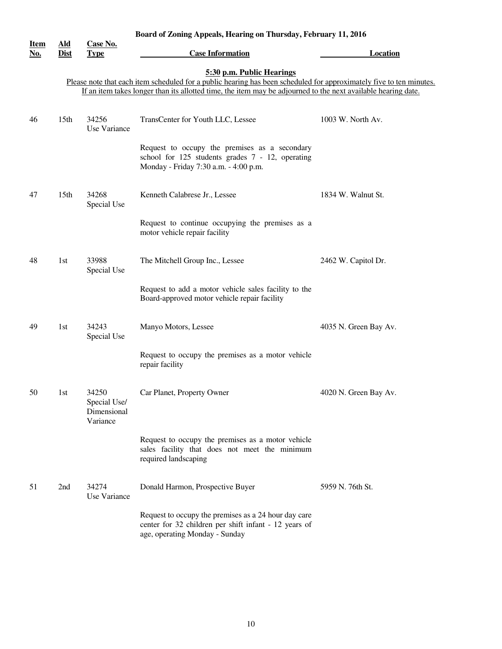|                           | Board of Zoning Appeals, Hearing on Thursday, February 11, 2016 |                                                  |                                                                                                                                                 |                       |
|---------------------------|-----------------------------------------------------------------|--------------------------------------------------|-------------------------------------------------------------------------------------------------------------------------------------------------|-----------------------|
| <u>Item</u><br><u>No.</u> | Ald<br><b>Dist</b>                                              | Case No.<br><b>Type</b>                          | <b>Case Information</b>                                                                                                                         | <b>Location</b>       |
|                           |                                                                 |                                                  | 5:30 p.m. Public Hearings                                                                                                                       |                       |
|                           |                                                                 |                                                  | Please note that each item scheduled for a public hearing has been scheduled for approximately five to ten minutes.                             |                       |
|                           |                                                                 |                                                  | If an item takes longer than its allotted time, the item may be adjourned to the next available hearing date.                                   |                       |
|                           |                                                                 |                                                  |                                                                                                                                                 |                       |
| 46                        | 15 <sub>th</sub>                                                | 34256<br>Use Variance                            | TransCenter for Youth LLC, Lessee                                                                                                               | 1003 W. North Av.     |
|                           |                                                                 |                                                  | Request to occupy the premises as a secondary<br>school for 125 students grades 7 - 12, operating<br>Monday - Friday 7:30 a.m. - 4:00 p.m.      |                       |
| 47                        | 15 <sub>th</sub>                                                | 34268<br>Special Use                             | Kenneth Calabrese Jr., Lessee                                                                                                                   | 1834 W. Walnut St.    |
|                           |                                                                 |                                                  | Request to continue occupying the premises as a<br>motor vehicle repair facility                                                                |                       |
| 48                        | 1st                                                             | 33988<br>Special Use                             | The Mitchell Group Inc., Lessee                                                                                                                 | 2462 W. Capitol Dr.   |
|                           |                                                                 |                                                  | Request to add a motor vehicle sales facility to the<br>Board-approved motor vehicle repair facility                                            |                       |
| 49                        | 1st                                                             | 34243<br>Special Use                             | Manyo Motors, Lessee                                                                                                                            | 4035 N. Green Bay Av. |
|                           |                                                                 |                                                  | Request to occupy the premises as a motor vehicle<br>repair facility                                                                            |                       |
| 50                        | 1st                                                             | 34250<br>Special Use/<br>Dimensional<br>Variance | Car Planet, Property Owner                                                                                                                      | 4020 N. Green Bay Av. |
|                           |                                                                 |                                                  | Request to occupy the premises as a motor vehicle<br>sales facility that does not meet the minimum<br>required landscaping                      |                       |
| 51                        | 2nd                                                             | 34274<br>Use Variance                            | Donald Harmon, Prospective Buyer                                                                                                                | 5959 N. 76th St.      |
|                           |                                                                 |                                                  | Request to occupy the premises as a 24 hour day care<br>center for 32 children per shift infant - 12 years of<br>age, operating Monday - Sunday |                       |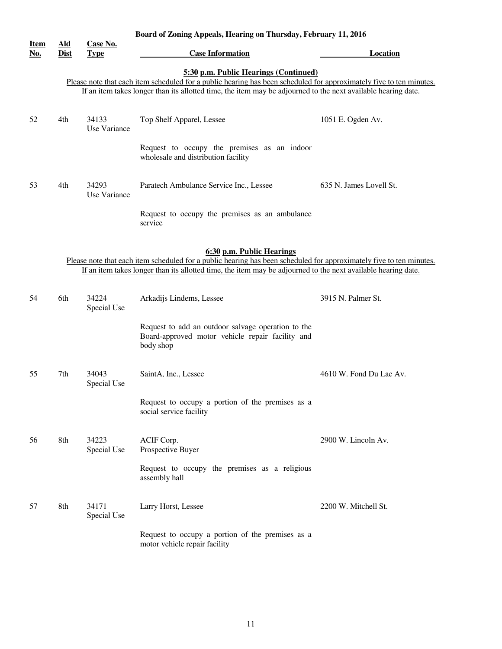|                                                                                                                                                                                                                                                                   | Board of Zoning Appeals, Hearing on Thursday, February 11, 2016<br>Case No.<br><u>Ald</u> |                       |                                                                                                                     |                         |  |
|-------------------------------------------------------------------------------------------------------------------------------------------------------------------------------------------------------------------------------------------------------------------|-------------------------------------------------------------------------------------------|-----------------------|---------------------------------------------------------------------------------------------------------------------|-------------------------|--|
| <b>Item</b><br>No.                                                                                                                                                                                                                                                | <b>Dist</b>                                                                               | <b>Type</b>           | <b>Case Information</b>                                                                                             | <b>Location</b>         |  |
|                                                                                                                                                                                                                                                                   |                                                                                           |                       | 5:30 p.m. Public Hearings (Continued)                                                                               |                         |  |
|                                                                                                                                                                                                                                                                   |                                                                                           |                       | Please note that each item scheduled for a public hearing has been scheduled for approximately five to ten minutes. |                         |  |
|                                                                                                                                                                                                                                                                   |                                                                                           |                       | If an item takes longer than its allotted time, the item may be adjourned to the next available hearing date.       |                         |  |
| 52                                                                                                                                                                                                                                                                | 4th                                                                                       | 34133<br>Use Variance | Top Shelf Apparel, Lessee                                                                                           | 1051 E. Ogden Av.       |  |
|                                                                                                                                                                                                                                                                   |                                                                                           |                       | Request to occupy the premises as an indoor<br>wholesale and distribution facility                                  |                         |  |
| 53                                                                                                                                                                                                                                                                | 4th                                                                                       | 34293<br>Use Variance | Paratech Ambulance Service Inc., Lessee                                                                             | 635 N. James Lovell St. |  |
|                                                                                                                                                                                                                                                                   |                                                                                           |                       | Request to occupy the premises as an ambulance<br>service                                                           |                         |  |
| 6:30 p.m. Public Hearings<br>Please note that each item scheduled for a public hearing has been scheduled for approximately five to ten minutes.<br>If an item takes longer than its allotted time, the item may be adjourned to the next available hearing date. |                                                                                           |                       |                                                                                                                     |                         |  |
| 54                                                                                                                                                                                                                                                                | 6th                                                                                       | 34224<br>Special Use  | Arkadijs Lindems, Lessee                                                                                            | 3915 N. Palmer St.      |  |
|                                                                                                                                                                                                                                                                   |                                                                                           |                       | Request to add an outdoor salvage operation to the<br>Board-approved motor vehicle repair facility and<br>body shop |                         |  |
| 55                                                                                                                                                                                                                                                                | 7th                                                                                       | 34043<br>Special Use  | SaintA, Inc., Lessee                                                                                                | 4610 W. Fond Du Lac Av. |  |
|                                                                                                                                                                                                                                                                   |                                                                                           |                       | Request to occupy a portion of the premises as a<br>social service facility                                         |                         |  |
| 56                                                                                                                                                                                                                                                                | 8th                                                                                       | 34223<br>Special Use  | ACIF Corp.<br>Prospective Buyer                                                                                     | 2900 W. Lincoln Av.     |  |
|                                                                                                                                                                                                                                                                   |                                                                                           |                       | Request to occupy the premises as a religious<br>assembly hall                                                      |                         |  |
| 57                                                                                                                                                                                                                                                                | 8th                                                                                       | 34171<br>Special Use  | Larry Horst, Lessee                                                                                                 | 2200 W. Mitchell St.    |  |
|                                                                                                                                                                                                                                                                   |                                                                                           |                       | Request to occupy a portion of the premises as a<br>motor vehicle repair facility                                   |                         |  |